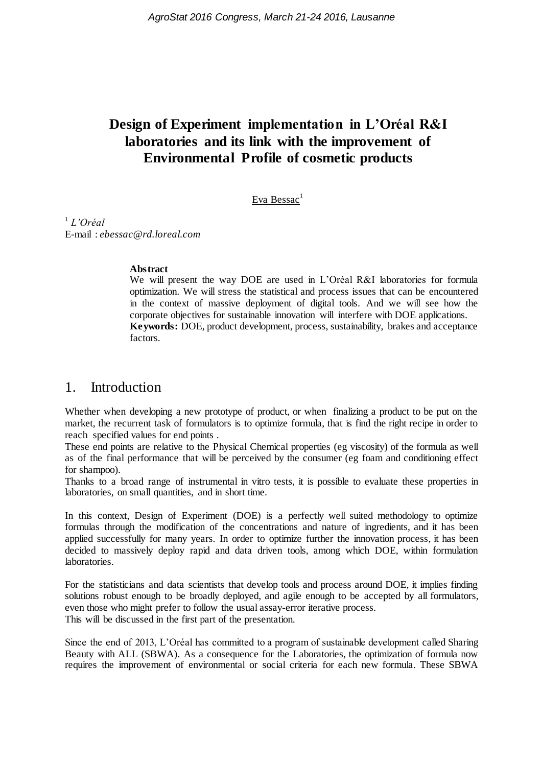# **Design of Experiment implementation in L'Oréal R&I laboratories and its link with the improvement of Environmental Profile of cosmetic products**

Eva Bessac<sup>1</sup>

1 *L'Oréal* E-mail : *ebessac@rd.loreal.com*

#### **Abstract**

We will present the way DOE are used in L'Oréal R&I laboratories for formula optimization. We will stress the statistical and process issues that can be encountered in the context of massive deployment of digital tools. And we will see how the corporate objectives for sustainable innovation will interfere with DOE applications. **Keywords:** DOE, product development, process, sustainability, brakes and acceptance factors.

## 1. Introduction

Whether when developing a new prototype of product, or when finalizing a product to be put on the market, the recurrent task of formulators is to optimize formula, that is find the right recipe in order to reach specified values for end points .

These end points are relative to the Physical Chemical properties (eg viscosity) of the formula as well as of the final performance that will be perceived by the consumer (eg foam and conditioning effect for shampoo).

Thanks to a broad range of instrumental in vitro tests, it is possible to evaluate these properties in laboratories, on small quantities, and in short time.

In this context, Design of Experiment (DOE) is a perfectly well suited methodology to optimize formulas through the modification of the concentrations and nature of ingredients, and it has been applied successfully for many years. In order to optimize further the innovation process, it has been decided to massively deploy rapid and data driven tools, among which DOE, within formulation laboratories.

For the statisticians and data scientists that develop tools and process around DOE, it implies finding solutions robust enough to be broadly deployed, and agile enough to be accepted by all formulators, even those who might prefer to follow the usual assay-error iterative process. This will be discussed in the first part of the presentation.

Since the end of 2013, L'Oréal has committed to a program of sustainable development called Sharing Beauty with ALL (SBWA). As a consequence for the Laboratories, the optimization of formula now requires the improvement of environmental or social criteria for each new formula. These SBWA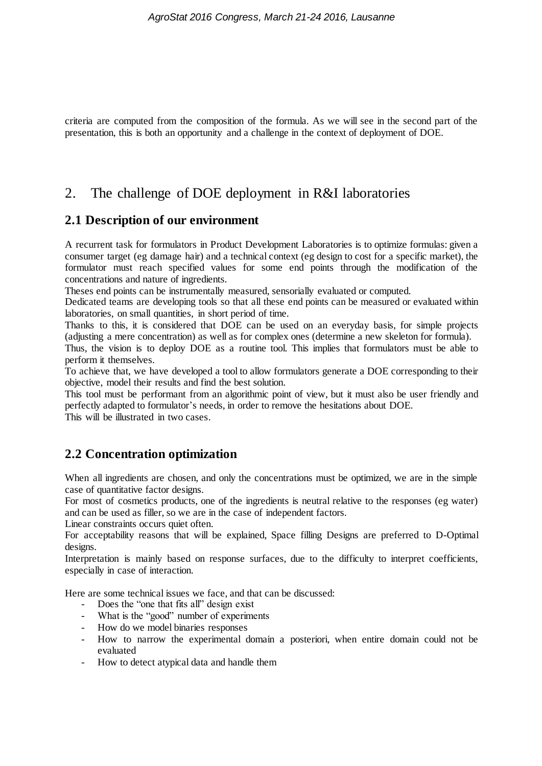criteria are computed from the composition of the formula. As we will see in the second part of the presentation, this is both an opportunity and a challenge in the context of deployment of DOE.

# 2. The challenge of DOE deployment in R&I laboratories

#### **2.1 Description of our environment**

A recurrent task for formulators in Product Development Laboratories is to optimize formulas: given a consumer target (eg damage hair) and a technical context (eg design to cost for a specific market), the formulator must reach specified values for some end points through the modification of the concentrations and nature of ingredients.

Theses end points can be instrumentally measured, sensorially evaluated or computed.

Dedicated teams are developing tools so that all these end points can be measured or evaluated within laboratories, on small quantities, in short period of time.

Thanks to this, it is considered that DOE can be used on an everyday basis, for simple projects (adjusting a mere concentration) as well as for complex ones (determine a new skeleton for formula).

Thus, the vision is to deploy DOE as a routine tool. This implies that formulators must be able to perform it themselves.

To achieve that, we have developed a tool to allow formulators generate a DOE corresponding to their objective, model their results and find the best solution.

This tool must be performant from an algorithmic point of view, but it must also be user friendly and perfectly adapted to formulator's needs, in order to remove the hesitations about DOE. This will be illustrated in two cases.

## **2.2 Concentration optimization**

When all ingredients are chosen, and only the concentrations must be optimized, we are in the simple case of quantitative factor designs.

For most of cosmetics products, one of the ingredients is neutral relative to the responses (eg water) and can be used as filler, so we are in the case of independent factors.

Linear constraints occurs quiet often.

For acceptability reasons that will be explained, Space filling Designs are preferred to D-Optimal designs.

Interpretation is mainly based on response surfaces, due to the difficulty to interpret coefficients, especially in case of interaction.

Here are some technical issues we face, and that can be discussed:

- Does the "one that fits all" design exist
- What is the "good" number of experiments
- How do we model binaries responses
- How to narrow the experimental domain a posteriori, when entire domain could not be evaluated
- How to detect atypical data and handle them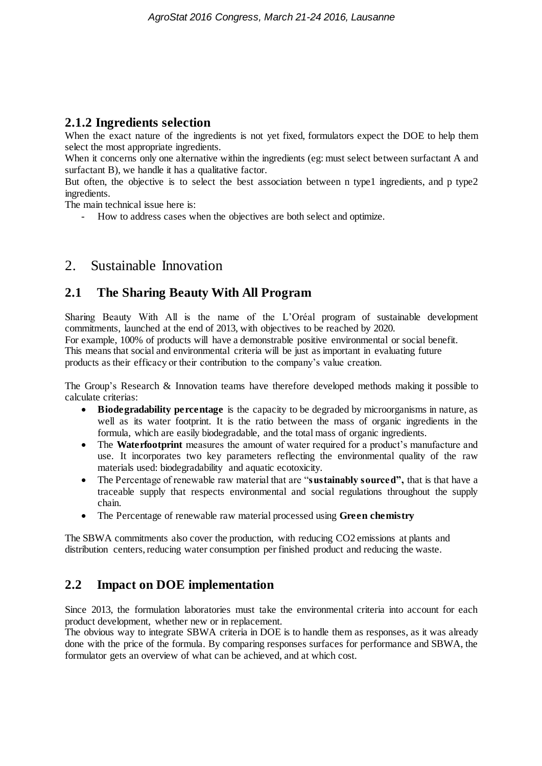#### **2.1.2 Ingredients selection**

When the exact nature of the ingredients is not yet fixed, formulators expect the DOE to help them select the most appropriate ingredients.

When it concerns only one alternative within the ingredients (eg: must select between surfactant A and surfactant B), we handle it has a qualitative factor.

But often, the objective is to select the best association between n type1 ingredients, and p type2 ingredients.

The main technical issue here is:

- How to address cases when the objectives are both select and optimize.

# 2. Sustainable Innovation

## **2.1 The Sharing Beauty With All Program**

Sharing Beauty With All is the name of the L'Oréal program of sustainable development commitments, launched at the end of 2013, with objectives to be reached by 2020. For example, 100% of products will have a demonstrable positive environmental or social benefit. This means that social and environmental criteria will be just as important in evaluating future products as their efficacy or their contribution to the company's value creation.

The Group's Research & Innovation teams have therefore developed methods making it possible to calculate criterias:

- **Biodegradability percentage** is the capacity to be degraded by microorganisms in nature, as well as its water footprint. It is the ratio between the mass of organic ingredients in the formula, which are easily biodegradable, and the total mass of organic ingredients.
- The **Waterfootprint** measures the amount of water required for a product's manufacture and use. It incorporates two key parameters reflecting the environmental quality of the raw materials used: biodegradability and aquatic ecotoxicity.
- The Percentage of renewable raw material that are "**sustainably sourced",** that is that have a traceable supply that respects environmental and social regulations throughout the supply chain.
- The Percentage of renewable raw material processed using **Green chemistry**

The SBWA commitments also cover the production, with reducing CO2 emissions at plants and distribution centers, reducing water consumption per finished product and reducing the waste.

#### **2.2 Impact on DOE implementation**

Since 2013, the formulation laboratories must take the environmental criteria into account for each product development, whether new or in replacement.

The obvious way to integrate SBWA criteria in DOE is to handle them as responses, as it was already done with the price of the formula. By comparing responses surfaces for performance and SBWA, the formulator gets an overview of what can be achieved, and at which cost.